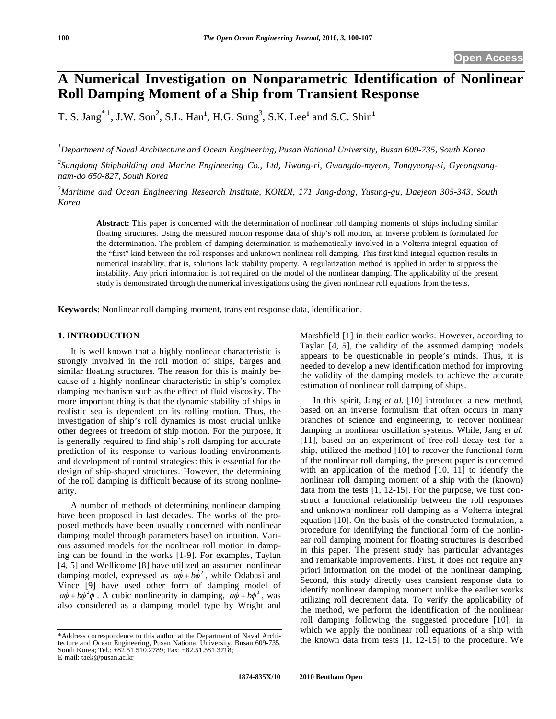# **A Numerical Investigation on Nonparametric Identification of Nonlinear Roll Damping Moment of a Ship from Transient Response**

T. S. Jang<sup>\*,1</sup>, J.W. Son<sup>2</sup>, S.L. Han<sup>1</sup>, H.G. Sung<sup>3</sup>, S.K. Lee<sup>1</sup> and S.C. Shin<sup>1</sup>

*1 Department of Naval Architecture and Ocean Engineering, Pusan National University, Busan 609-735, South Korea* 

*2 Sungdong Shipbuilding and Marine Engineering Co., Ltd, Hwang-ri, Gwangdo-myeon, Tongyeong-si, Gyeongsangnam-do 650-827, South Korea* 

*3 Maritime and Ocean Engineering Research Institute, KORDI, 171 Jang-dong, Yusung-gu, Daejeon 305-343, South Korea* 

**Abstract:** This paper is concerned with the determination of nonlinear roll damping moments of ships including similar floating structures. Using the measured motion response data of ship's roll motion, an inverse problem is formulated for the determination. The problem of damping determination is mathematically involved in a Volterra integral equation of the "first" kind between the roll responses and unknown nonlinear roll damping. This first kind integral equation results in numerical instability, that is, solutions lack stability property. A regularization method is applied in order to suppress the instability. Any priori information is not required on the model of the nonlinear damping. The applicability of the present study is demonstrated through the numerical investigations using the given nonlinear roll equations from the tests.

**Keywords:** Nonlinear roll damping moment, transient response data, identification.

# **1. INTRODUCTION**

It is well known that a highly nonlinear characteristic is strongly involved in the roll motion of ships, barges and similar floating structures. The reason for this is mainly because of a highly nonlinear characteristic in ship's complex damping mechanism such as the effect of fluid viscosity. The more important thing is that the dynamic stability of ships in realistic sea is dependent on its rolling motion. Thus, the investigation of ship's roll dynamics is most crucial unlike other degrees of freedom of ship motion. For the purpose, it is generally required to find ship's roll damping for accurate prediction of its response to various loading environments and development of control strategies: this is essential for the design of ship-shaped structures. However, the determining of the roll damping is difficult because of its strong nonlinearity.

A number of methods of determining nonlinear damping have been proposed in last decades. The works of the proposed methods have been usually concerned with nonlinear damping model through parameters based on intuition. Various assumed models for the nonlinear roll motion in damping can be found in the works [1-9]. For examples, Taylan [4, 5] and Wellicome [8] have utilized an assumed nonlinear damping model, expressed as  $a\dot{\phi} + b\dot{\phi}^2$ , while Odabasi and Vince [9] have used other form of damping model of  $a\dot{\phi} + b\dot{\phi}^2 \dot{\phi}$ . A cubic nonlinearity in damping,  $a\dot{\phi} + b\dot{\phi}^3$ , was also considered as a damping model type by Wright and

Marshfield [1] in their earlier works. However, according to Taylan [4, 5], the validity of the assumed damping models appears to be questionable in people's minds. Thus, it is needed to develop a new identification method for improving the validity of the damping models to achieve the accurate estimation of nonlinear roll damping of ships.

In this spirit, Jang *et al.* [10] introduced a new method, based on an inverse formulism that often occurs in many branches of science and engineering, to recover nonlinear damping in nonlinear oscillation systems. While, Jang *et al*. [11], based on an experiment of free-roll decay test for a ship, utilized the method [10] to recover the functional form of the nonlinear roll damping, the present paper is concerned with an application of the method [10, 11] to identify the nonlinear roll damping moment of a ship with the (known) data from the tests [1, 12-15]. For the purpose, we first construct a functional relationship between the roll responses and unknown nonlinear roll damping as a Volterra integral equation [10]. On the basis of the constructed formulation, a procedure for identifying the functional form of the nonlinear roll damping moment for floating structures is described in this paper. The present study has particular advantages and remarkable improvements. First, it does not require any priori information on the model of the nonlinear damping. Second, this study directly uses transient response data to identify nonlinear damping moment unlike the earlier works utilizing roll decrement data. To verify the applicability of the method, we perform the identification of the nonlinear roll damping following the suggested procedure [10], in which we apply the nonlinear roll equations of a ship with the known data from tests [1, 12-15] to the procedure. We

<sup>\*</sup>Address correspondence to this author at the Department of Naval Architecture and Ocean Engineering, Pusan National University, Busan 609-735, South Korea; Tel.: +82.51.510.2789; Fax: +82.51.581.3718; E-mail: taek@pusan.ac.kr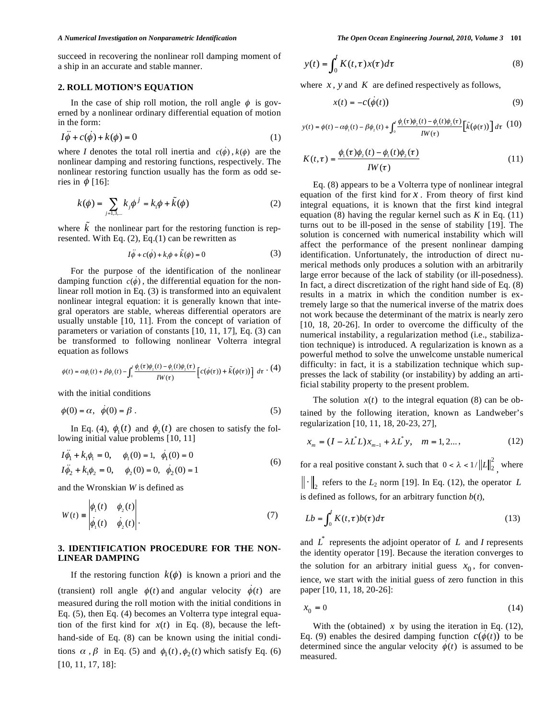succeed in recovering the nonlinear roll damping moment of a ship in an accurate and stable manner.

## **2. ROLL MOTION'S EQUATION**

In the case of ship roll motion, the roll angle  $\phi$  is governed by a nonlinear ordinary differential equation of motion in the form:

$$
I\ddot{\phi} + c(\dot{\phi}) + k(\phi) = 0 \tag{1}
$$

where *I* denotes the total roll inertia and  $c(\phi)$ ,  $k(\phi)$  are the nonlinear damping and restoring functions, respectively. The nonlinear restoring function usually has the form as odd series in  $\phi$  [16]:

$$
k(\phi) = \sum_{j=1,3,...} k_j \phi^j = k_i \phi + \tilde{k}(\phi)
$$
 (2)

where  $\tilde{k}$  the nonlinear part for the restoring function is represented. With Eq.  $(2)$ , Eq. $(1)$  can be rewritten as

$$
I\ddot{\phi} + c(\dot{\phi}) + k_1 \phi + \tilde{k}(\phi) = 0 \tag{3}
$$

For the purpose of the identification of the nonlinear damping function  $c(\phi)$ , the differential equation for the nonlinear roll motion in Eq. (3) is transformed into an equivalent nonlinear integral equation: it is generally known that integral operators are stable, whereas differential operators are usually unstable [10, 11]. From the concept of variation of parameters or variation of constants [10, 11, 17], Eq. (3) can be transformed to following nonlinear Volterra integral equation as follows

$$
\phi(t)=\alpha\phi_{_{\rm l}}(t)+\beta\phi_{_{\rm 2}}(t)-\int_{{\scriptscriptstyle 0}}^t\frac{\phi_{_{\rm l}}(\tau)\phi_{_{\rm 2}}(t)-\phi_{_{\rm l}}(t)\phi_{_{\rm 2}}(\tau)}{IW(\tau)}\left[c(\dot\phi(\tau))+\tilde k\big(\phi(\tau)\big)\right]\;d\tau\cdot\big(4)
$$

with the initial conditions

$$
\phi(0) = \alpha, \quad \dot{\phi}(0) = \beta \tag{5}
$$

In Eq. (4),  $\phi_1(t)$  and  $\phi_2(t)$  are chosen to satisfy the following initial value problems [10, 11]

$$
I\ddot{\phi}_1 + k_1\phi_1 = 0, \quad \phi_1(0) = 1, \quad \dot{\phi}_1(0) = 0
$$
  
\n
$$
I\ddot{\phi}_2 + k_1\phi_2 = 0, \quad \phi_2(0) = 0, \quad \dot{\phi}_2(0) = 1
$$
\n(6)

and the Wronskian *W* is defined as

$$
W(t) = \begin{vmatrix} \phi_1(t) & \phi_2(t) \\ \vdots & \vdots \\ \phi_1(t) & \phi_2(t) \end{vmatrix} . \tag{7}
$$

# **3. IDENTIFICATION PROCEDURE FOR THE NON-LINEAR DAMPING**

If the restoring function  $k(\phi)$  is known a priori and the (transient) roll angle  $\phi(t)$  and angular velocity  $\phi(t)$  are measured during the roll motion with the initial conditions in Eq. (5), then Eq. (4) becomes an Volterra type integral equation of the first kind for  $x(t)$  in Eq. (8), because the lefthand-side of Eq. (8) can be known using the initial conditions  $\alpha$ ,  $\beta$  in Eq. (5) and  $\phi_1(t)$ ,  $\phi_2(t)$  which satisfy Eq. (6) [10, 11, 17, 18]:

$$
y(t) = \int_0^t K(t, \tau) x(\tau) d\tau
$$
 (8)

where  $x$ ,  $y$  and  $K$  are defined respectively as follows,

$$
x(t) = -c(\dot{\phi}(t))
$$
\n(9)

$$
y(t) = \phi(t) - \alpha \phi_{\scriptscriptstyle 1}(t) - \beta \phi_{\scriptscriptstyle 2}(t) + \int_0^t \frac{\phi_{\scriptscriptstyle 1}(\tau) \phi_{\scriptscriptstyle 2}(t) - \phi_{\scriptscriptstyle 1}(t) \phi_{\scriptscriptstyle 2}(\tau)}{IW(\tau)} \left[ \tilde{k} \big(\phi(\tau)\big) \right] d\tau \tag{10}
$$

$$
K(t,\tau) = \frac{\phi_1(\tau)\phi_2(t) - \phi_1(t)\phi_2(\tau)}{IW(\tau)}
$$
\n(11)

Eq. (8) appears to be a Volterra type of nonlinear integral equation of the first kind for *x* . From theory of first kind integral equations, it is known that the first kind integral equation (8) having the regular kernel such as *K* in Eq. (11) turns out to be ill-posed in the sense of stability [19]. The solution is concerned with numerical instability which will affect the performance of the present nonlinear damping identification. Unfortunately, the introduction of direct numerical methods only produces a solution with an arbitrarily large error because of the lack of stability (or ill-posedness). In fact, a direct discretization of the right hand side of Eq. (8) results in a matrix in which the condition number is extremely large so that the numerical inverse of the matrix does not work because the determinant of the matrix is nearly zero [10, 18, 20-26]. In order to overcome the difficulty of the numerical instability, a regularization method (i.e., stabilization technique) is introduced. A regularization is known as a powerful method to solve the unwelcome unstable numerical difficulty: in fact, it is a stabilization technique which suppresses the lack of stability (or instability) by adding an artificial stability property to the present problem.

The solution  $x(t)$  to the integral equation (8) can be obtained by the following iteration, known as Landweber's regularization [10, 11, 18, 20-23, 27],

$$
x_m = (I - \lambda L^* L) x_{m-1} + \lambda L^* y, \quad m = 1, 2... \qquad (12)
$$

for a real positive constant  $\lambda$  such that  $0 < \lambda < 1/ ||L||_2^2$ , where

 $\|\cdot\|_2$  refers to the  $L_2$  norm [19]. In Eq. (12), the operator *L* is defined as follows, for an arbitrary function  $b(t)$ ,

$$
Lb = \int_0^t K(t, \tau) b(\tau) d\tau
$$
\n(13)

and  $\overrightarrow{L}$  represents the adjoint operator of  $L$  and *I* represents the identity operator [19]. Because the iteration converges to the solution for an arbitrary initial guess  $x_0$ , for convenience, we start with the initial guess of zero function in this paper [10, 11, 18, 20-26]:

$$
x_0 = 0 \tag{14}
$$

With the (obtained)  $x$  by using the iteration in Eq. (12), Eq. (9) enables the desired damping function  $c(\phi(t))$  to be determined since the angular velocity  $\phi(t)$  is assumed to be measured.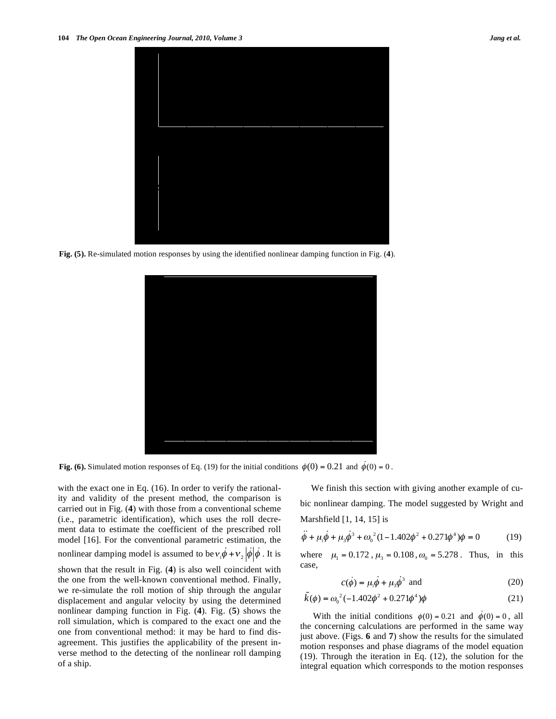

**Fig. (5).** Re-simulated motion responses by using the identified nonlinear damping function in Fig. (**4**).



**Fig. (6).** Simulated motion responses of Eq. (19) for the initial conditions  $\phi(0) = 0.21$  and  $\dot{\phi}(0) = 0$ .

with the exact one in Eq. (16). In order to verify the rationality and validity of the present method, the comparison is carried out in Fig. (**4**) with those from a conventional scheme (i.e., parametric identification), which uses the roll decrement data to estimate the coefficient of the prescribed roll model [16]. For the conventional parametric estimation, the

nonlinear damping model is assumed to be  $v_1 \dot{\phi} + v_2 |\dot{\phi}| \dot{\phi}$ . It is

shown that the result in Fig. (**4**) is also well coincident with the one from the well-known conventional method. Finally, we re-simulate the roll motion of ship through the angular displacement and angular velocity by using the determined nonlinear damping function in Fig. (**4**). Fig. (**5**) shows the roll simulation, which is compared to the exact one and the one from conventional method: it may be hard to find disagreement. This justifies the applicability of the present inverse method to the detecting of the nonlinear roll damping of a ship.

We finish this section with giving another example of cubic nonlinear damping. The model suggested by Wright and Marshfield [1, 14, 15] is

$$
\ddot{\phi} + \mu_1 \dot{\phi} + \mu_3 \dot{\phi}^3 + \omega_0^2 (1 - 1.402 \phi^2 + 0.271 \phi^4) \phi = 0 \tag{19}
$$

where  $\mu_1 = 0.172$ ,  $\mu_3 = 0.108$ ,  $\omega_0 = 5.278$ . Thus, in this case,

$$
c(\dot{\phi}) = \mu_1 \dot{\phi} + \mu_3 \dot{\phi}^3 \text{ and}
$$
 (20)

$$
\tilde{k}(\phi) = \omega_0^2 (-1.402\phi^2 + 0.271\phi^4)\phi
$$
\n(21)

With the initial conditions  $\phi(0) = 0.21$  and  $\phi(0) = 0$ , all the concerning calculations are performed in the same way just above. (Figs. **6** and **7**) show the results for the simulated motion responses and phase diagrams of the model equation (19). Through the iteration in Eq. (12), the solution for the integral equation which corresponds to the motion responses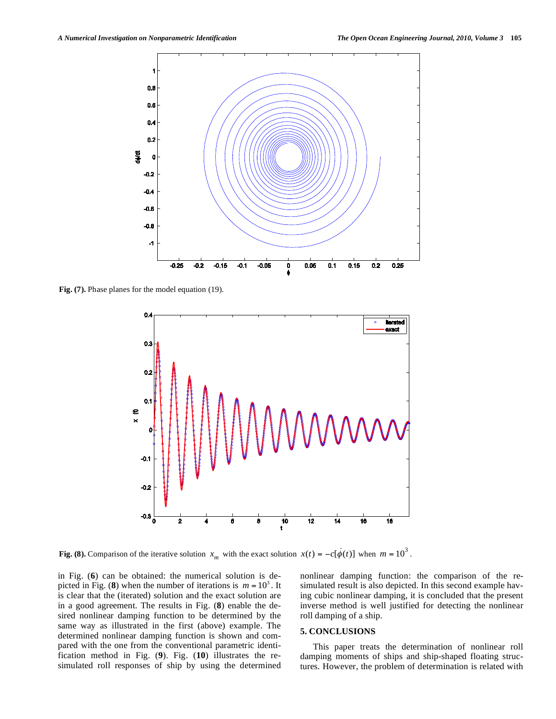

**Fig. (7).** Phase planes for the model equation (19).



**Fig. (8).** Comparison of the iterative solution  $x_m$  with the exact solution  $x(t) = -c[\dot{\phi}(t)]$  when  $m = 10^3$ .

in Fig. (**6**) can be obtained: the numerical solution is depicted in Fig. (8) when the number of iterations is  $m = 10^3$ . It is clear that the (iterated) solution and the exact solution are in a good agreement. The results in Fig. (**8**) enable the desired nonlinear damping function to be determined by the same way as illustrated in the first (above) example. The determined nonlinear damping function is shown and compared with the one from the conventional parametric identification method in Fig. (**9**). Fig. (**10**) illustrates the resimulated roll responses of ship by using the determined nonlinear damping function: the comparison of the resimulated result is also depicted. In this second example having cubic nonlinear damping, it is concluded that the present inverse method is well justified for detecting the nonlinear roll damping of a ship.

### **5. CONCLUSIONS**

This paper treats the determination of nonlinear roll damping moments of ships and ship-shaped floating structures. However, the problem of determination is related with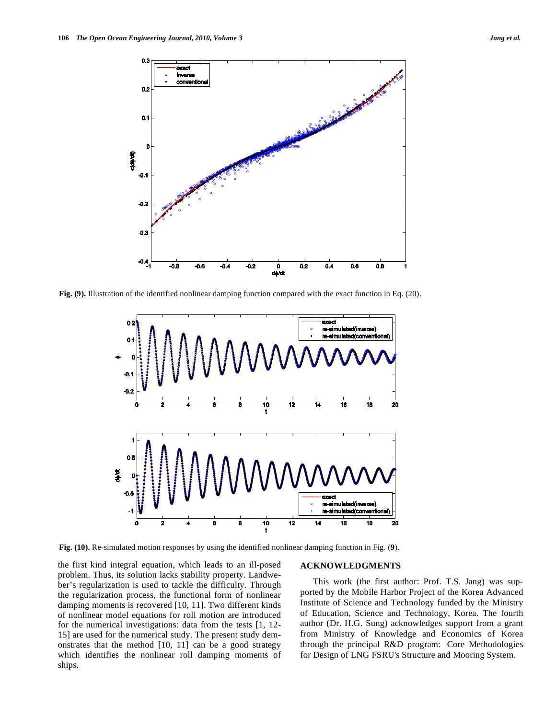

**Fig. (9).** Illustration of the identified nonlinear damping function compared with the exact function in Eq. (20).



**Fig. (10).** Re-simulated motion responses by using the identified nonlinear damping function in Fig. (**9**).

the first kind integral equation, which leads to an ill-posed problem. Thus, its solution lacks stability property. Landweber's regularization is used to tackle the difficulty. Through the regularization process, the functional form of nonlinear damping moments is recovered [10, 11]. Two different kinds of nonlinear model equations for roll motion are introduced for the numerical investigations: data from the tests [1, 12- 15] are used for the numerical study. The present study demonstrates that the method [10, 11] can be a good strategy which identifies the nonlinear roll damping moments of ships.

### **ACKNOWLEDGMENTS**

This work (the first author: Prof. T.S. Jang) was supported by the Mobile Harbor Project of the Korea Advanced Institute of Science and Technology funded by the Ministry of Education, Science and Technology, Korea. The fourth author (Dr. H.G. Sung) acknowledges support from a grant from Ministry of Knowledge and Economics of Korea through the principal R&D program: Core Methodologies for Design of LNG FSRU's Structure and Mooring System.